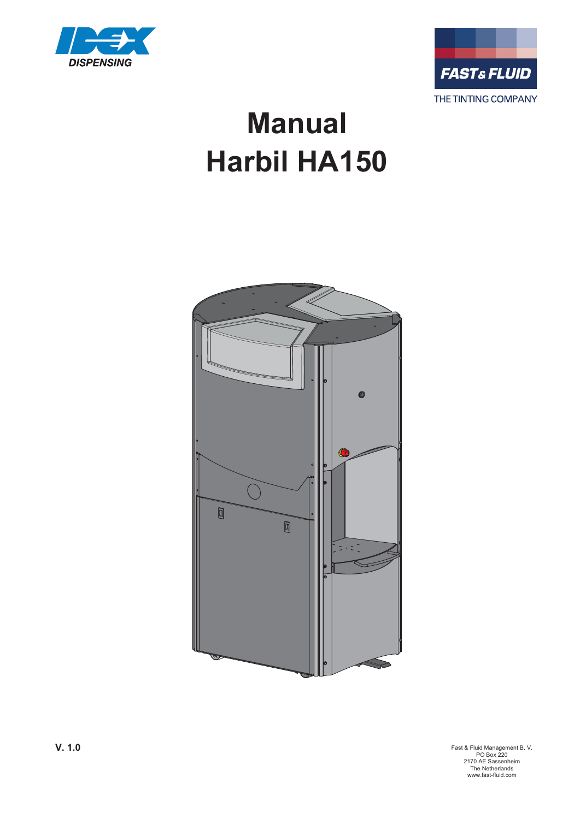



# **Manual Harbil HA150**

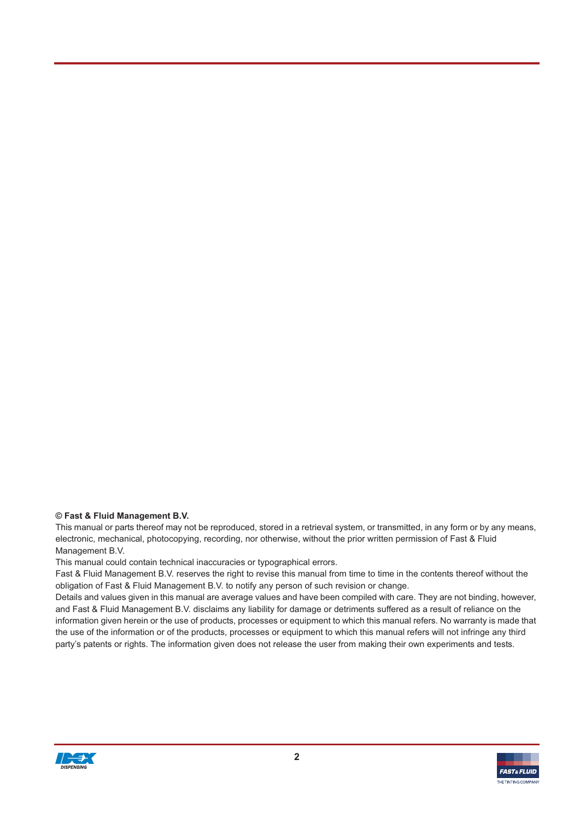#### **© Fast & Fluid Management B.V.**

This manual or parts thereof may not be reproduced, stored in a retrieval system, or transmitted, in any form or by any means, electronic, mechanical, photocopying, recording, nor otherwise, without the prior written permission of Fast & Fluid Management B.V.

This manual could contain technical inaccuracies or typographical errors.

Fast & Fluid Management B.V. reserves the right to revise this manual from time to time in the contents thereof without the obligation of Fast & Fluid Management B.V. to notify any person of such revision or change.

Details and values given in this manual are average values and have been compiled with care. They are not binding, however, and Fast & Fluid Management B.V. disclaims any liability for damage or detriments suffered as a result of reliance on the information given herein or the use of products, processes or equipment to which this manual refers. No warranty is made that the use of the information or of the products, processes or equipment to which this manual refers will not infringe any third party's patents or rights. The information given does not release the user from making their own experiments and tests.



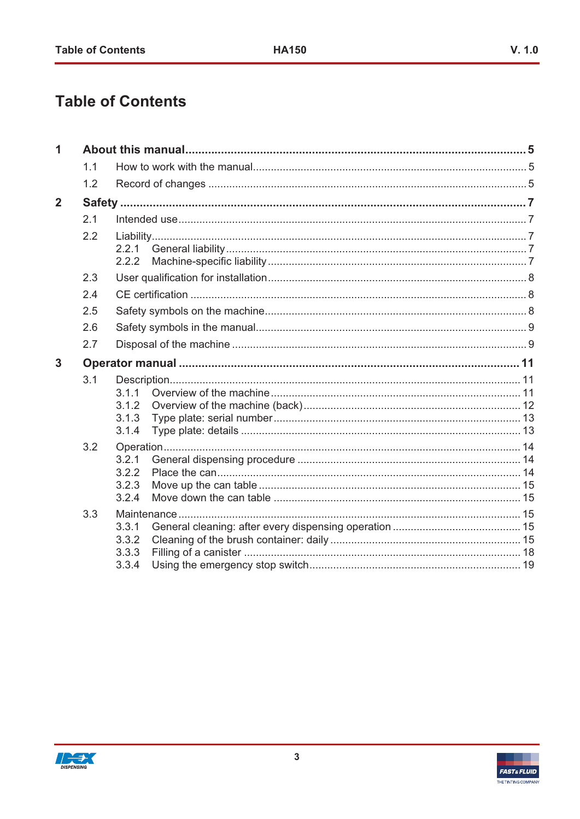# $V. 1.0$

# **Table of Contents**

| 1              |     |                                  |  |  |  |
|----------------|-----|----------------------------------|--|--|--|
|                | 1.1 |                                  |  |  |  |
|                | 1.2 |                                  |  |  |  |
| $\overline{2}$ |     |                                  |  |  |  |
|                | 2.1 |                                  |  |  |  |
|                | 2.2 | 2.2.1<br>2.2.2                   |  |  |  |
|                | 2.3 |                                  |  |  |  |
|                | 2.4 |                                  |  |  |  |
|                | 2.5 |                                  |  |  |  |
|                | 2.6 |                                  |  |  |  |
|                | 2.7 |                                  |  |  |  |
| 3              |     |                                  |  |  |  |
|                | 3.1 | 3.1.1<br>3.1.2<br>3.1.3<br>3.1.4 |  |  |  |
|                | 3.2 | 3.2.1<br>3.2.2<br>3.2.3<br>3.2.4 |  |  |  |
|                | 3.3 | 3.3.1<br>3.3.2<br>3.3.3<br>3.3.4 |  |  |  |



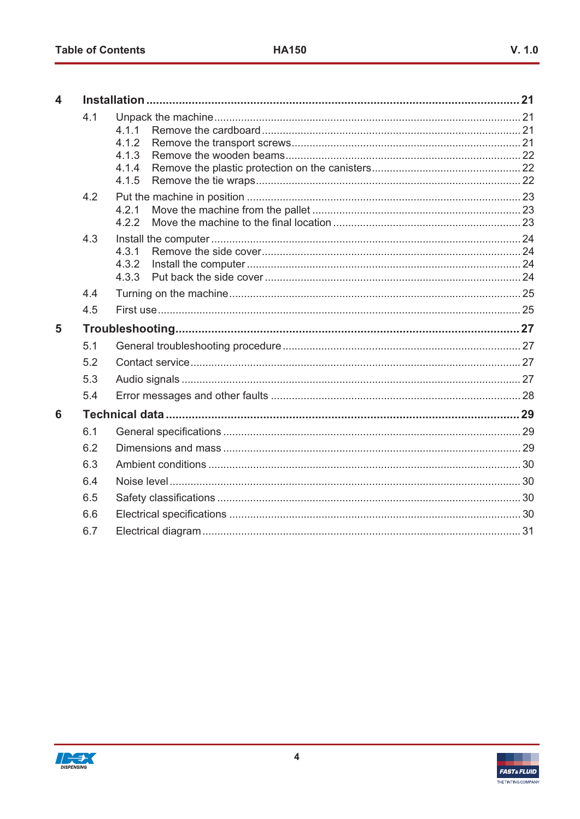| 4 |     |                                           |  |
|---|-----|-------------------------------------------|--|
|   | 4.1 | 4.1.1<br>4.1.2<br>4.1.3<br>4.1.4<br>4.1.5 |  |
|   | 4.2 | 4.2.1<br>4.2.2                            |  |
|   | 4.3 | 4.3.1<br>4.3.2<br>4.3.3                   |  |
|   | 4.4 |                                           |  |
|   | 4.5 |                                           |  |
| 5 |     |                                           |  |
|   |     |                                           |  |
|   | 5.1 |                                           |  |
|   | 5.2 |                                           |  |
|   | 5.3 |                                           |  |
|   | 5.4 |                                           |  |
| 6 |     |                                           |  |
|   | 6.1 |                                           |  |
|   | 6.2 |                                           |  |
|   | 6.3 |                                           |  |
|   | 6.4 |                                           |  |
|   | 6.5 |                                           |  |
|   | 6.6 |                                           |  |



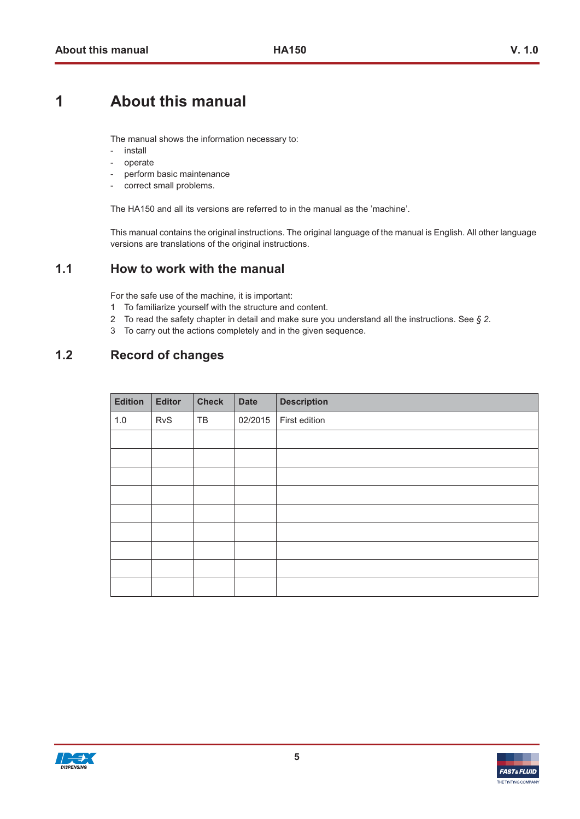# **1 About this manual**

The manual shows the information necessary to:

- install
- operate
- perform basic maintenance
- correct small problems.

The HA150 and all its versions are referred to in the manual as the 'machine'.

This manual contains the original instructions. The original language of the manual is English. All other language versions are translations of the original instructions.

# **1.1 How to work with the manual**

For the safe use of the machine, it is important:

- 1 To familiarize yourself with the structure and content.
- 2 To read the safety chapter in detail and make sure you understand all the instructions. See *§ 2*.
- 3 To carry out the actions completely and in the given sequence.

# **1.2 Record of changes**

| <b>Edition</b> | <b>Editor</b> | <b>Check</b> | <b>Date</b> | <b>Description</b> |
|----------------|---------------|--------------|-------------|--------------------|
| 1.0            | <b>RvS</b>    | TB           | 02/2015     | First edition      |
|                |               |              |             |                    |
|                |               |              |             |                    |
|                |               |              |             |                    |
|                |               |              |             |                    |
|                |               |              |             |                    |
|                |               |              |             |                    |
|                |               |              |             |                    |
|                |               |              |             |                    |
|                |               |              |             |                    |



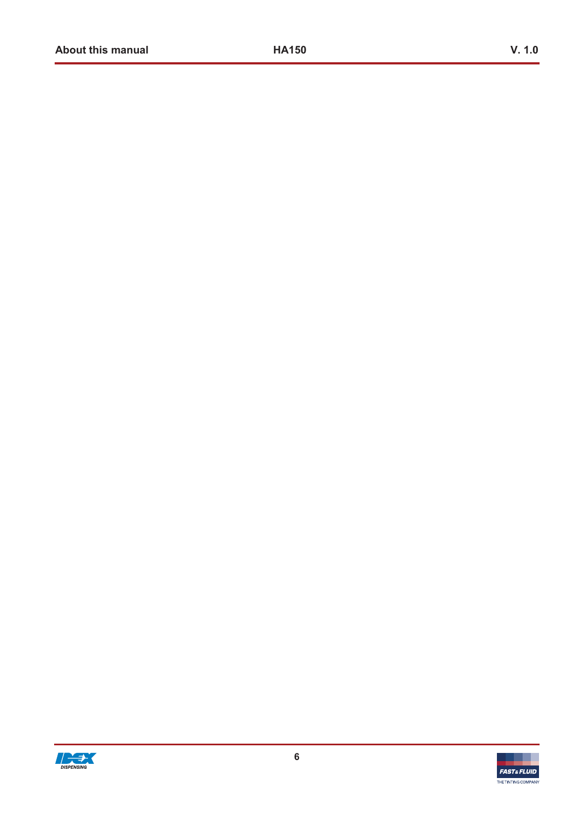

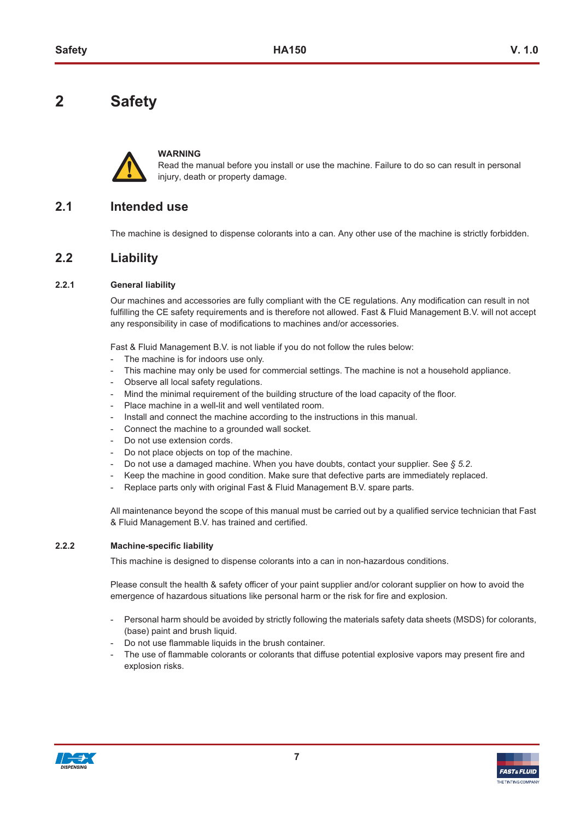# **2 Safety**



#### **WARNING**

Read the manual before you install or use the machine. Failure to do so can result in personal injury, death or property damage.

# **2.1 Intended use**

The machine is designed to dispense colorants into a can. Any other use of the machine is strictly forbidden.

# **2.2 Liability**

#### **2.2.1 General liability**

Our machines and accessories are fully compliant with the CE regulations. Any modification can result in not fulfilling the CE safety requirements and is therefore not allowed. Fast & Fluid Management B.V. will not accept any responsibility in case of modifications to machines and/or accessories.

Fast & Fluid Management B.V. is not liable if you do not follow the rules below:

- The machine is for indoors use only.
- This machine may only be used for commercial settings. The machine is not a household appliance.
- Observe all local safety regulations.
- Mind the minimal requirement of the building structure of the load capacity of the floor.
- Place machine in a well-lit and well ventilated room.
- Install and connect the machine according to the instructions in this manual.
- Connect the machine to a grounded wall socket.
- Do not use extension cords.
- Do not place objects on top of the machine.
- Do not use a damaged machine. When you have doubts, contact your supplier. See *§ 5.2*.
- Keep the machine in good condition. Make sure that defective parts are immediately replaced.
- Replace parts only with original Fast & Fluid Management B.V. spare parts.

All maintenance beyond the scope of this manual must be carried out by a qualified service technician that Fast & Fluid Management B.V. has trained and certified.

#### **2.2.2 Machine-specific liability**

This machine is designed to dispense colorants into a can in non-hazardous conditions.

Please consult the health & safety officer of your paint supplier and/or colorant supplier on how to avoid the emergence of hazardous situations like personal harm or the risk for fire and explosion.

- Personal harm should be avoided by strictly following the materials safety data sheets (MSDS) for colorants, (base) paint and brush liquid.
- Do not use flammable liquids in the brush container.
- The use of flammable colorants or colorants that diffuse potential explosive vapors may present fire and explosion risks.



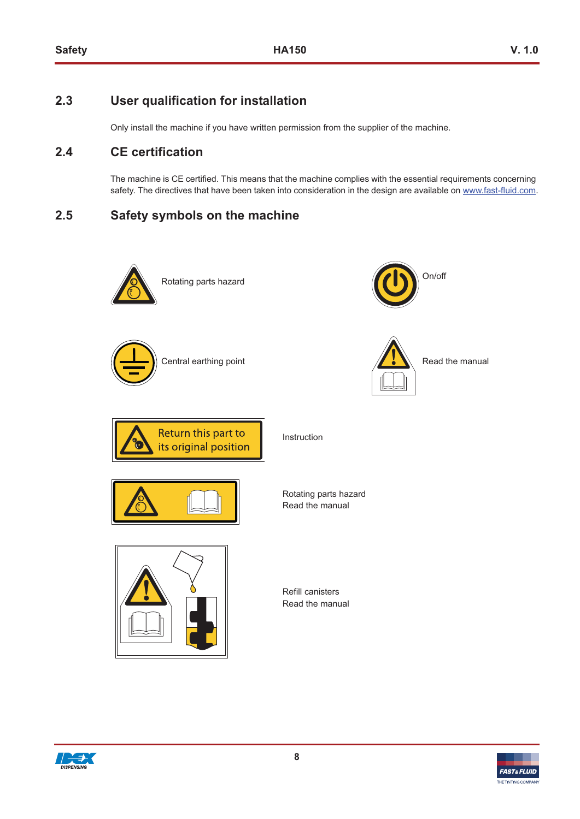# **2.3 User qualification for installation**

Only install the machine if you have written permission from the supplier of the machine.

# **2.4 CE certification**

The machine is CE certified. This means that the machine complies with the essential requirements concerning safety. The directives that have been taken into consideration in the design are available on www.fast-fluid.com.

# **2.5 Safety symbols on the machine**







Central earthing point  $\sqrt{2}$  Read the manual







Instruction

Refill canisters Read the manual



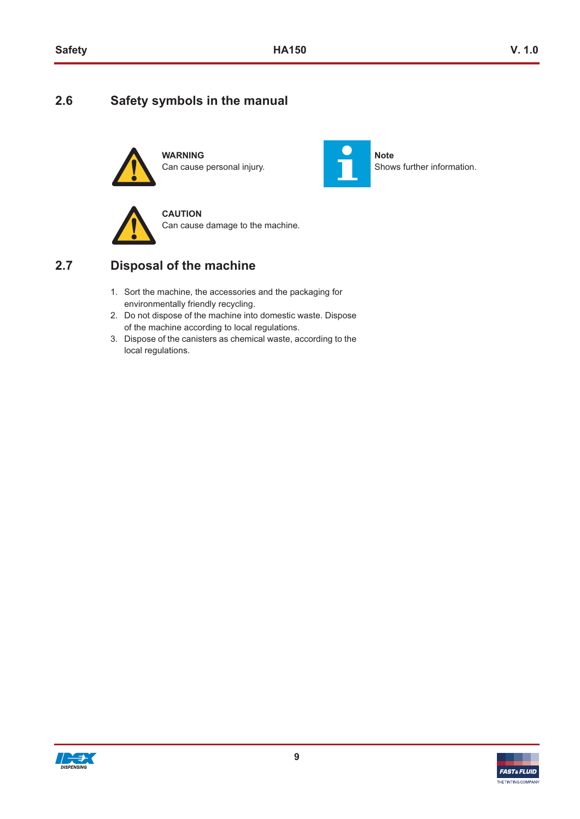# **2.6 Safety symbols in the manual**



**WARNING** Can cause personal injury.



**Note** Shows further information.



**CAUTION** Can cause damage to the machine.

# **2.7 Disposal of the machine**

- 1. Sort the machine, the accessories and the packaging for environmentally friendly recycling.
- 2. Do not dispose of the machine into domestic waste. Dispose of the machine according to local regulations.
- 3. Dispose of the canisters as chemical waste, according to the local regulations.



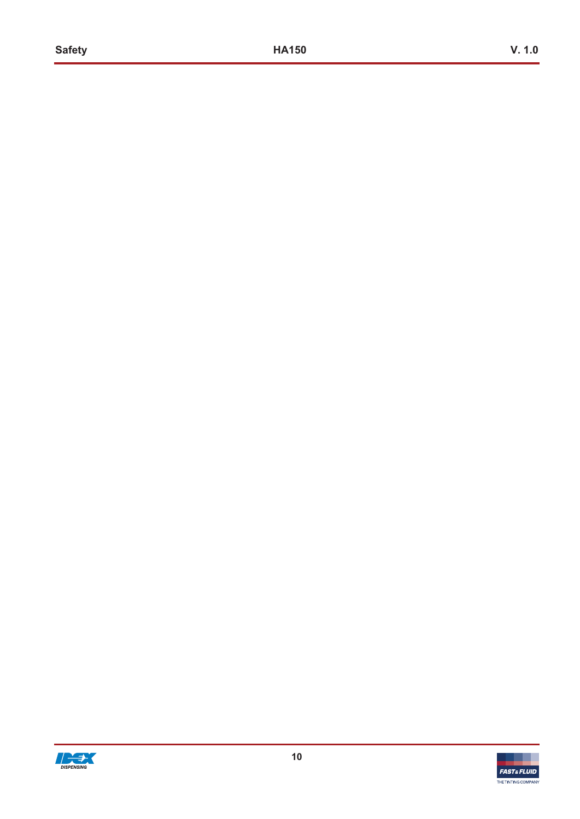

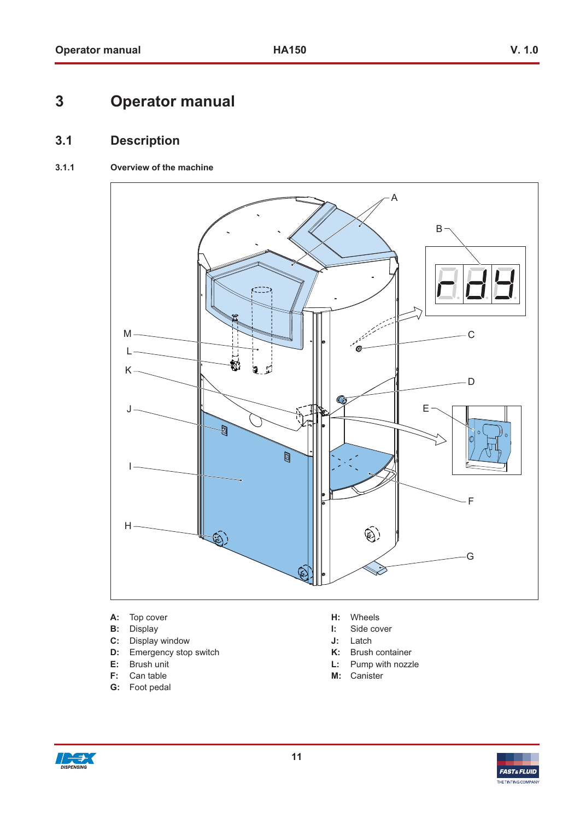# **3 Operator manual**

# **3.1 Description**

#### **3.1.1 Overview of the machine**



- **A:** Top cover
- **B:** Display
- **C:** Display window
- **D:** Emergency stop switch
- **E:** Brush unit
- **F:** Can table
- **G:** Foot pedal
- **H:** Wheels
- **I:** Side cover
- **J:** Latch
- **K:** Brush container
- **L:** Pump with nozzle
- **M:** Canister

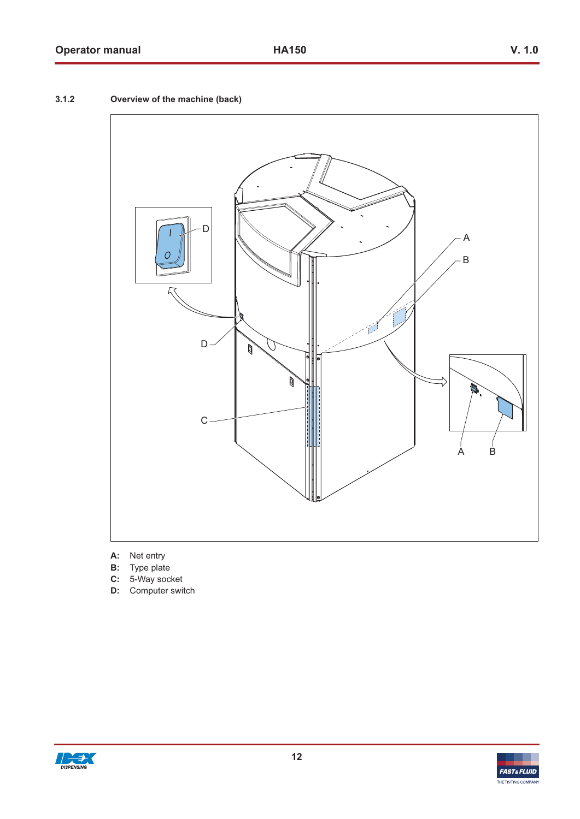#### **3.1.2 Overview of the machine (back)**



- **A:** Net entry
- **B:** Type plate
- **C:** 5-Way socket
- **D:** Computer switch



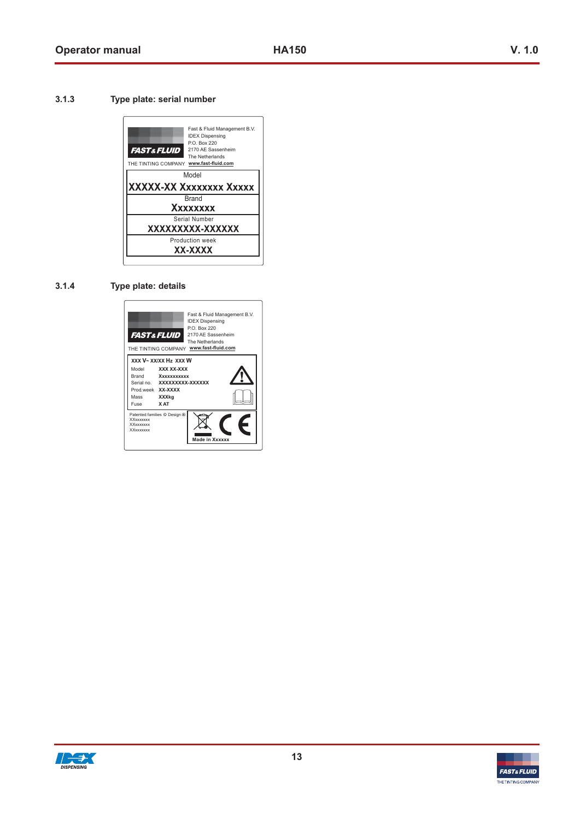#### **3.1.3 Type plate: serial number**



#### **3.1.4 Type plate: details**



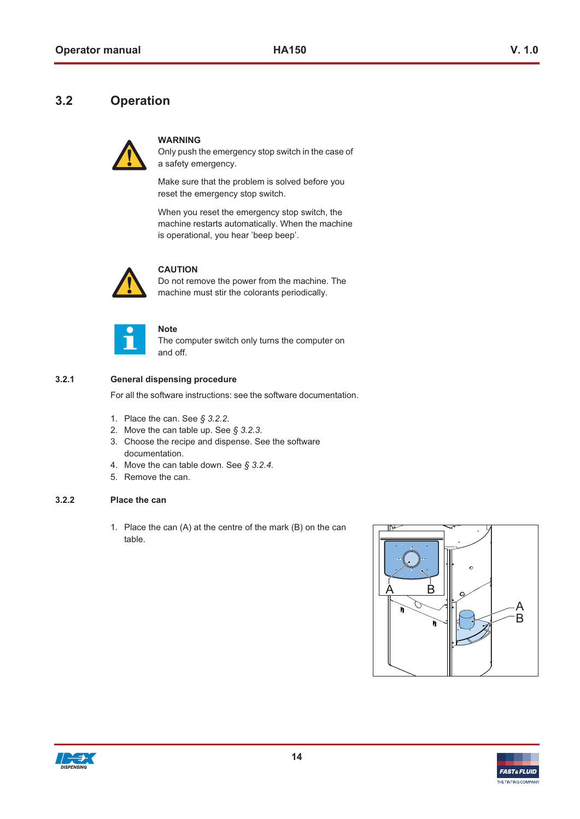# **3.2 Operation**



#### **WARNING**

Only push the emergency stop switch in the case of a safety emergency.

Make sure that the problem is solved before you reset the emergency stop switch.

When you reset the emergency stop switch, the machine restarts automatically. When the machine is operational, you hear 'beep beep'.



#### **CAUTION**

Do not remove the power from the machine. The machine must stir the colorants periodically.



#### **Note**

The computer switch only turns the computer on and off.

#### **3.2.1 General dispensing procedure**

For all the software instructions: see the software documentation.

- 1. Place the can. See *§ 3.2.2*.
- 2. Move the can table up. See *§ 3.2.3*.
- 3. Choose the recipe and dispense. See the software documentation.
- 4. Move the can table down. See *§ 3.2.4*.
- 5. Remove the can.

#### **3.2.2 Place the can**

1. Place the can (A) at the centre of the mark (B) on the can table.





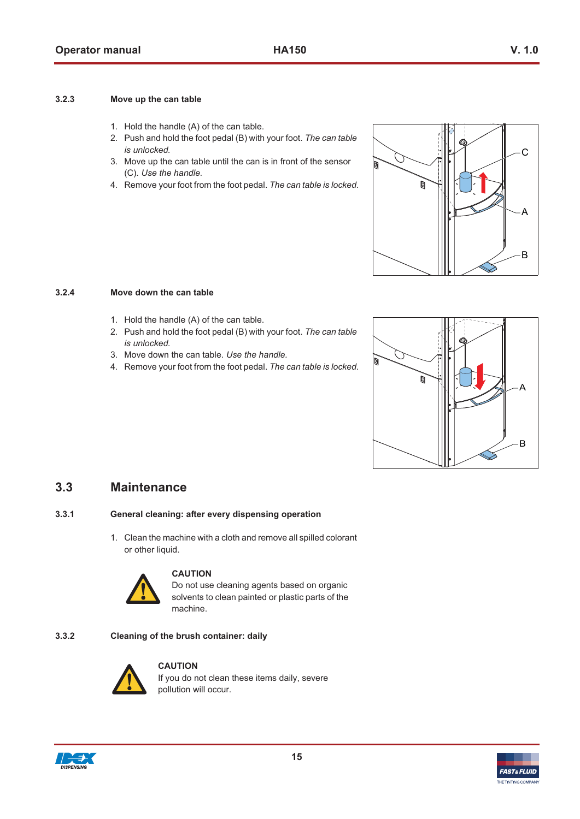#### **3.2.3 Move up the can table**

- 1. Hold the handle (A) of the can table.
- 2. Push and hold the foot pedal (B) with your foot. *The can table is unlocked.*
- 3. Move up the can table until the can is in front of the sensor (C). *Use the handle.*
- 4. Remove your foot from the foot pedal. *The can table is locked.*



#### **3.2.4 Move down the can table**

- 1. Hold the handle (A) of the can table.
- 2. Push and hold the foot pedal (B) with your foot. *The can table is unlocked.*
- 3. Move down the can table. *Use the handle.*
- 4. Remove your foot from the foot pedal. *The can table is locked.*



# **3.3 Maintenance**

#### **3.3.1 General cleaning: after every dispensing operation**

1. Clean the machine with a cloth and remove all spilled colorant or other liquid.



#### **CAUTION**

Do not use cleaning agents based on organic solvents to clean painted or plastic parts of the machine.

#### **3.3.2 Cleaning of the brush container: daily**



#### **CAUTION** If you do not clean these items daily, severe pollution will occur.



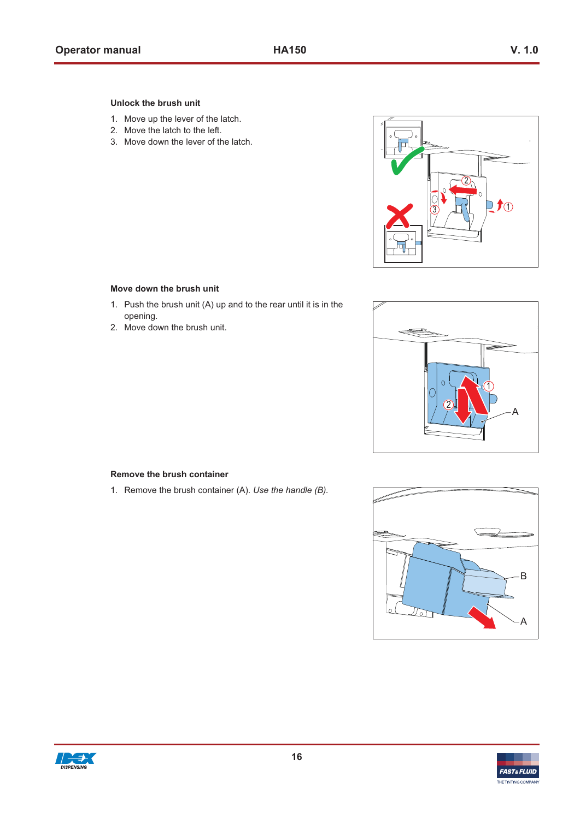#### **Unlock the brush unit**

- 1. Move up the lever of the latch.
- 2. Move the latch to the left.

**Move down the brush unit**

2. Move down the brush unit.

opening.

3. Move down the lever of the latch.



# 1  $2$   $A$   $A$

#### **Remove the brush container**

1. Remove the brush container (A). *Use the handle (B).*

1. Push the brush unit (A) up and to the rear until it is in the





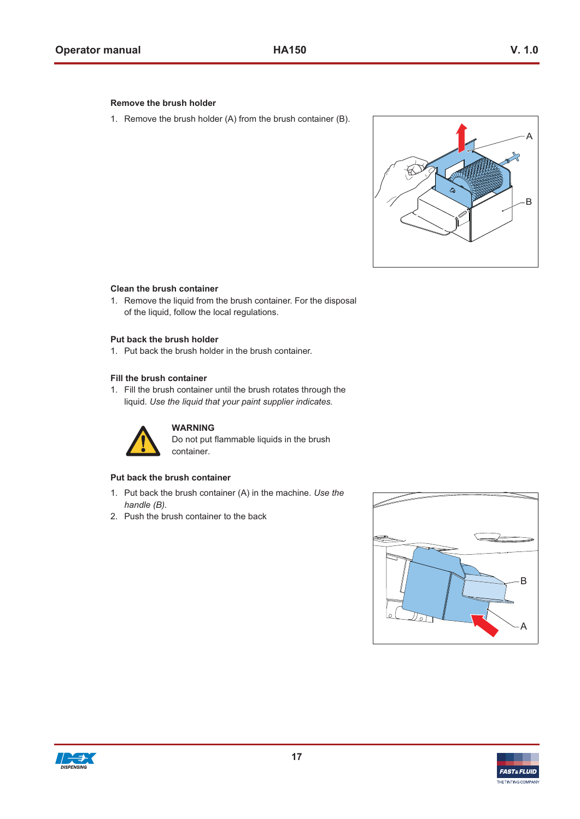#### **Remove the brush holder**

1. Remove the brush holder (A) from the brush container (B).



#### **Clean the brush container**

1. Remove the liquid from the brush container. For the disposal of the liquid, follow the local regulations.

#### **Put back the brush holder**

1. Put back the brush holder in the brush container.

#### **Fill the brush container**

1. Fill the brush container until the brush rotates through the liquid. *Use the liquid that your paint supplier indicates.*



#### **WARNING**

Do not put flammable liquids in the brush container.

#### **Put back the brush container**

- 1. Put back the brush container (A) in the machine. *Use the handle (B).*
- 2. Push the brush container to the back





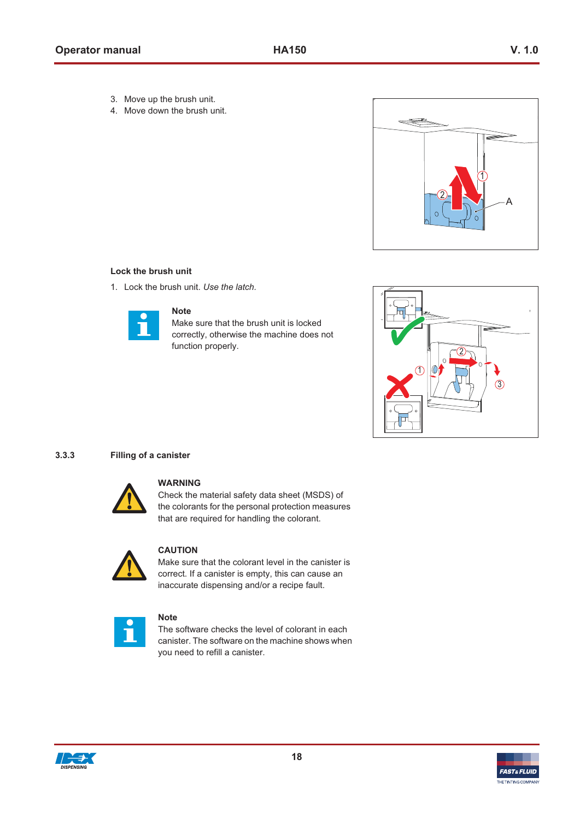- 3. Move up the brush unit.
- 4. Move down the brush unit.



#### **Lock the brush unit**

1. Lock the brush unit. *Use the latch.*



#### **Note**

Make sure that the brush unit is locked correctly, otherwise the machine does not function properly.



#### **3.3.3 Filling of a canister**



#### **WARNING**

Check the material safety data sheet (MSDS) of the colorants for the personal protection measures that are required for handling the colorant.



#### **CAUTION**

Make sure that the colorant level in the canister is correct. If a canister is empty, this can cause an inaccurate dispensing and/or a recipe fault.



#### **Note**

The software checks the level of colorant in each canister. The software on the machine shows when you need to refill a canister.



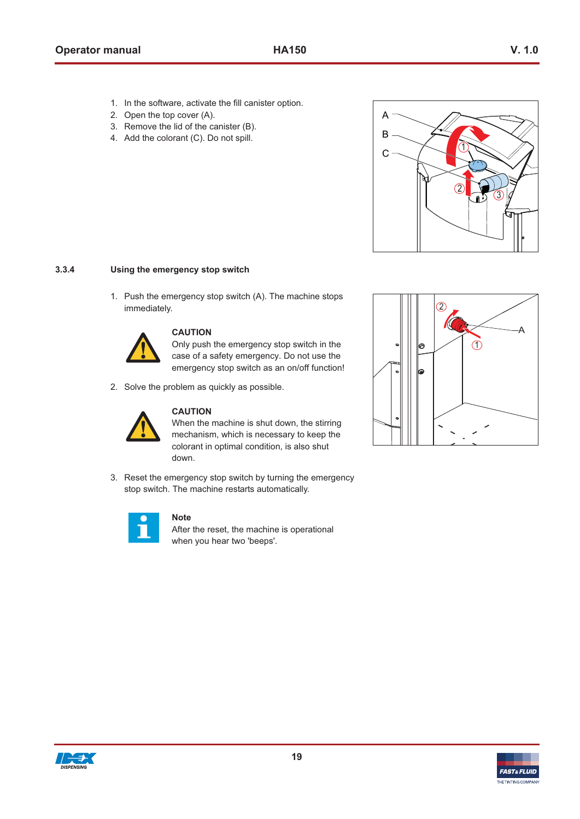- 1. In the software, activate the fill canister option.
- 2. Open the top cover (A).
- 3. Remove the lid of the canister (B).
- 4. Add the colorant (C). Do not spill.



#### **3.3.4 Using the emergency stop switch**

1. Push the emergency stop switch (A). The machine stops immediately.



#### **CAUTION**

Only push the emergency stop switch in the case of a safety emergency. Do not use the emergency stop switch as an on/off function!

2. Solve the problem as quickly as possible.



#### **CAUTION**

When the machine is shut down, the stirring mechanism, which is necessary to keep the colorant in optimal condition, is also shut down.

3. Reset the emergency stop switch by turning the emergency stop switch. The machine restarts automatically.



#### **Note**

After the reset, the machine is operational when you hear two 'beeps'.





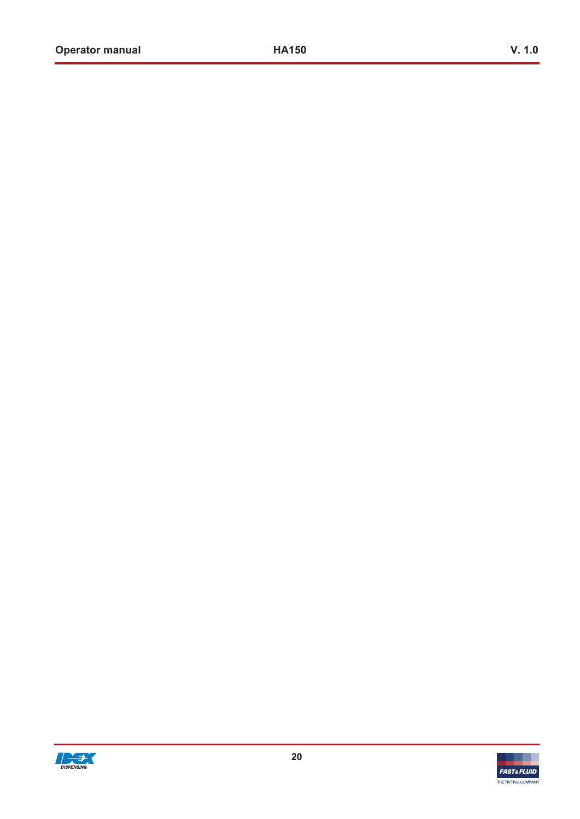

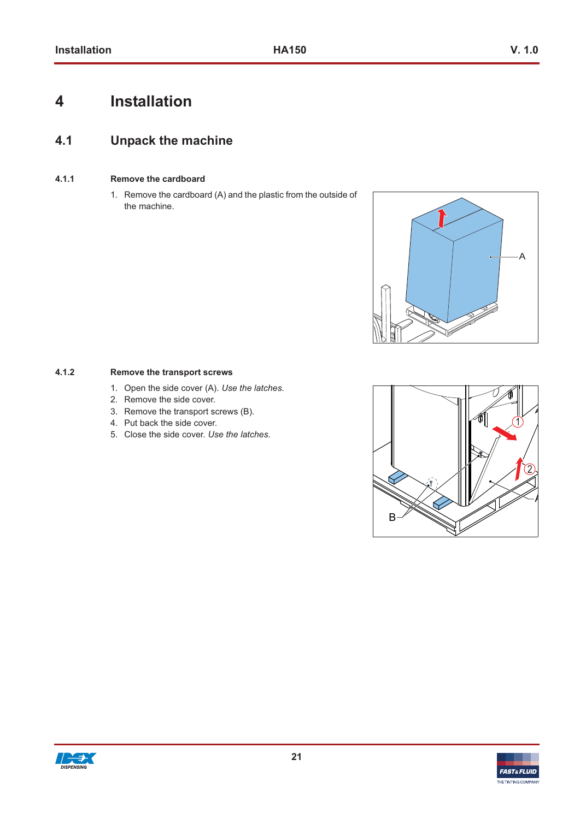# **4 Installation**

# **4.1 Unpack the machine**

#### **4.1.1 Remove the cardboard**

1. Remove the cardboard (A) and the plastic from the outside of the machine.



#### **4.1.2 Remove the transport screws**

- 1. Open the side cover (A). *Use the latches.*
- 2. Remove the side cover.
- 3. Remove the transport screws (B).
- 4. Put back the side cover.
- 5. Close the side cover. *Use the latches.*





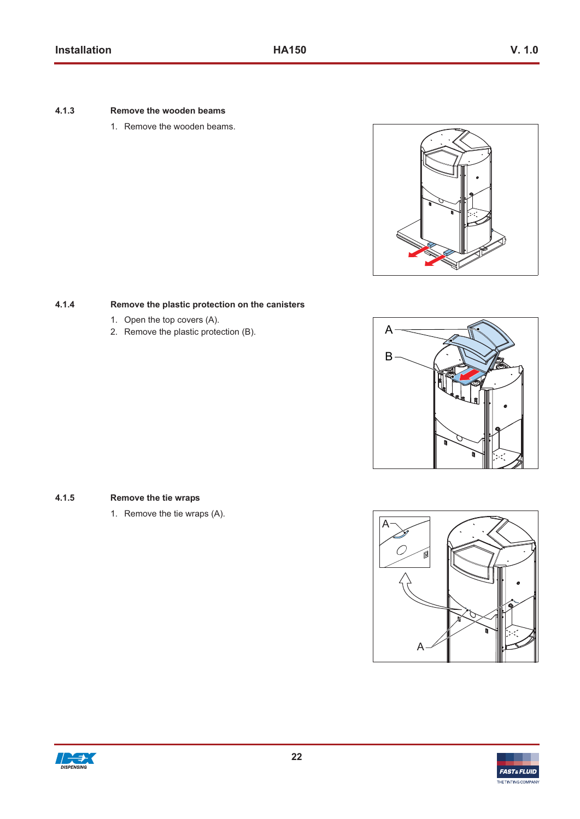#### **4.1.3 Remove the wooden beams**

1. Remove the wooden beams.



#### **4.1.4 Remove the plastic protection on the canisters**

- 1. Open the top covers (A).
- 2. Remove the plastic protection (B).



#### **4.1.5 Remove the tie wraps**

1. Remove the tie wraps (A).





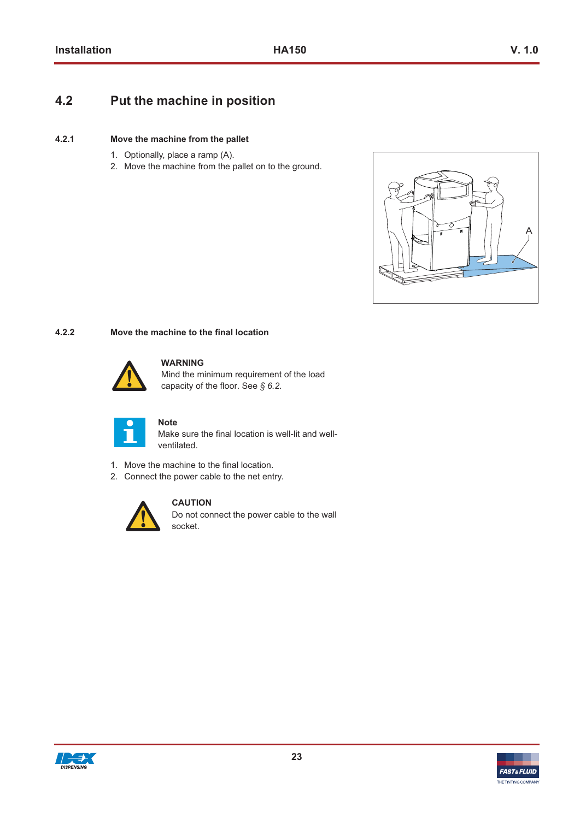# **4.2 Put the machine in position**

#### **4.2.1 Move the machine from the pallet**

- 1. Optionally, place a ramp (A).
- 2. Move the machine from the pallet on to the ground.



#### **4.2.2 Move the machine to the final location**



#### **WARNING**

Mind the minimum requirement of the load capacity of the floor. See *§ 6.2*.



#### **Note**

Make sure the final location is well-lit and wellventilated.

- 1. Move the machine to the final location.
- 2. Connect the power cable to the net entry.



#### **CAUTION**

Do not connect the power cable to the wall socket.

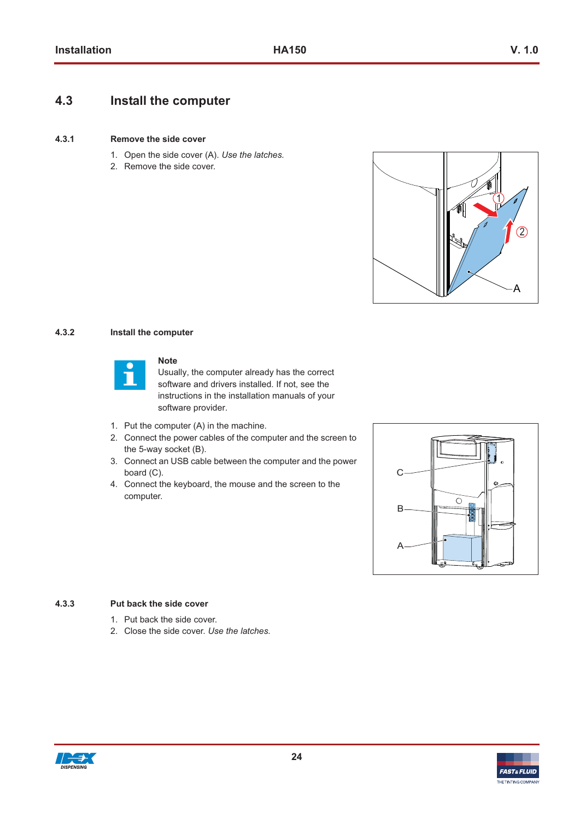# **4.3 Install the computer**

#### **4.3.1 Remove the side cover**

- 1. Open the side cover (A). *Use the latches.*
- 2. Remove the side cover.



#### **4.3.2 Install the computer**



#### **Note**

Usually, the computer already has the correct software and drivers installed. If not, see the instructions in the installation manuals of your software provider.

- 1. Put the computer (A) in the machine.
- 2. Connect the power cables of the computer and the screen to the 5-way socket (B).
- 3. Connect an USB cable between the computer and the power board (C).
- 4. Connect the keyboard, the mouse and the screen to the computer.



#### **4.3.3 Put back the side cover**

- 1. Put back the side cover.
- 2. Close the side cover. *Use the latches.*



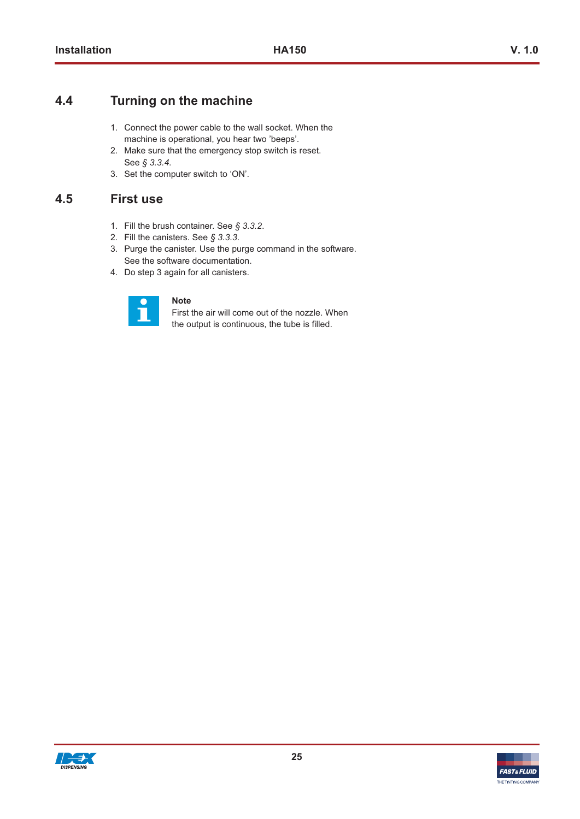# **4.4 Turning on the machine**

- 1. Connect the power cable to the wall socket. When the machine is operational, you hear two 'beeps'.
- 2. Make sure that the emergency stop switch is reset. See *§ 3.3.4*.
- 3. Set the computer switch to 'ON'.

# **4.5 First use**

- 1. Fill the brush container. See *§ 3.3.2*.
- 2. Fill the canisters. See *§ 3.3.3*.
- 3. Purge the canister. Use the purge command in the software. See the software documentation.
- 4. Do step 3 again for all canisters.



#### **Note**

First the air will come out of the nozzle. When the output is continuous, the tube is filled.

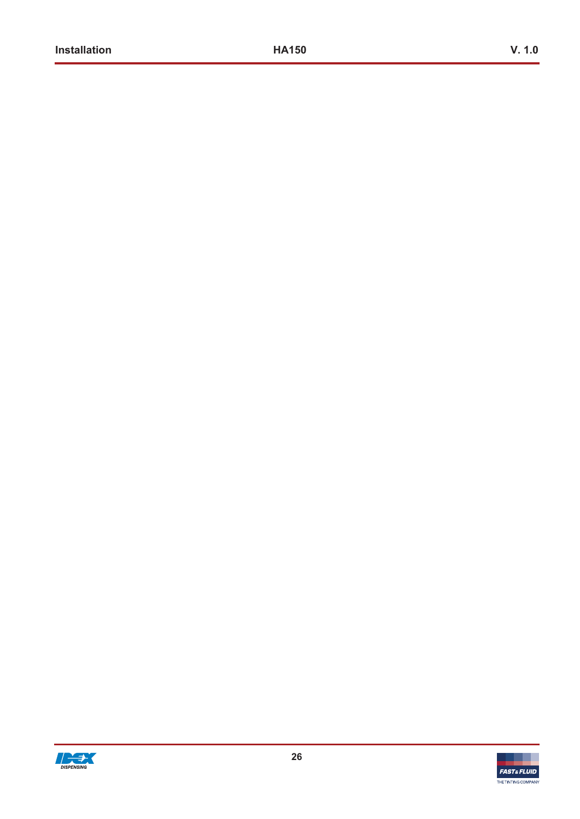

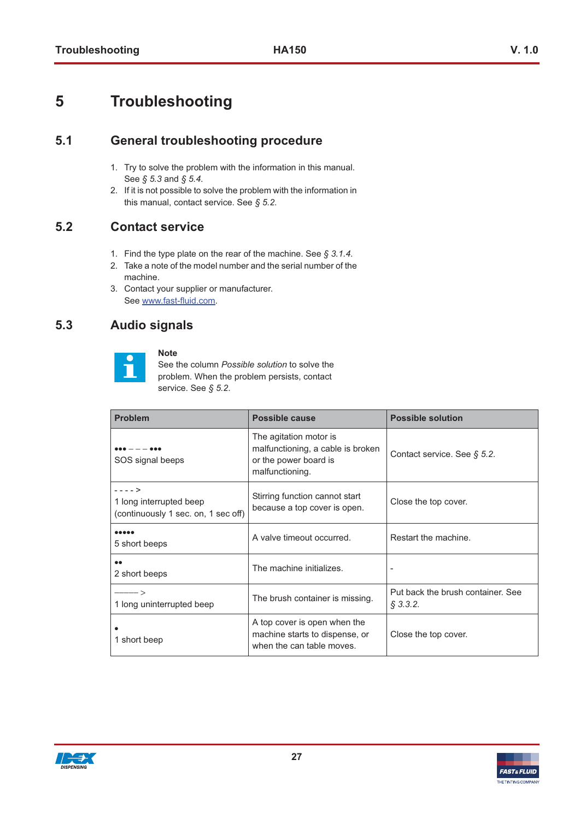# **5 Troubleshooting**

# **5.1 General troubleshooting procedure**

- 1. Try to solve the problem with the information in this manual. See *§ 5.3* and *§ 5.4*.
- 2. If it is not possible to solve the problem with the information in this manual, contact service. See *§ 5.2*.

# **5.2 Contact service**

- 1. Find the type plate on the rear of the machine. See *§ 3.1.4*.
- 2. Take a note of the model number and the serial number of the machine.
- 3. Contact your supplier or manufacturer. See www.fast-fluid.com.

**Note**

# **5.3 Audio signals**



See the column *Possible solution* to solve the problem. When the problem persists, contact service. See *§ 5.2*.

| <b>Problem</b>                                                                | Possible cause                                                                                          | <b>Possible solution</b>                      |
|-------------------------------------------------------------------------------|---------------------------------------------------------------------------------------------------------|-----------------------------------------------|
| SOS signal beeps                                                              | The agitation motor is<br>malfunctioning, a cable is broken<br>or the power board is<br>malfunctioning. | Contact service. See § 5.2.                   |
| $- - - - >$<br>1 long interrupted beep<br>(continuously 1 sec. on, 1 sec off) | Stirring function cannot start<br>because a top cover is open.                                          | Close the top cover.                          |
| 5 short beeps                                                                 | A valve timeout occurred.                                                                               | Restart the machine.                          |
| <br>2 short beeps                                                             | The machine initializes.                                                                                |                                               |
| - ><br>1 long uninterrupted beep                                              | The brush container is missing.                                                                         | Put back the brush container. See<br>\$3.3.2. |
| 1 short beep                                                                  | A top cover is open when the<br>machine starts to dispense, or<br>when the can table moves.             | Close the top cover.                          |



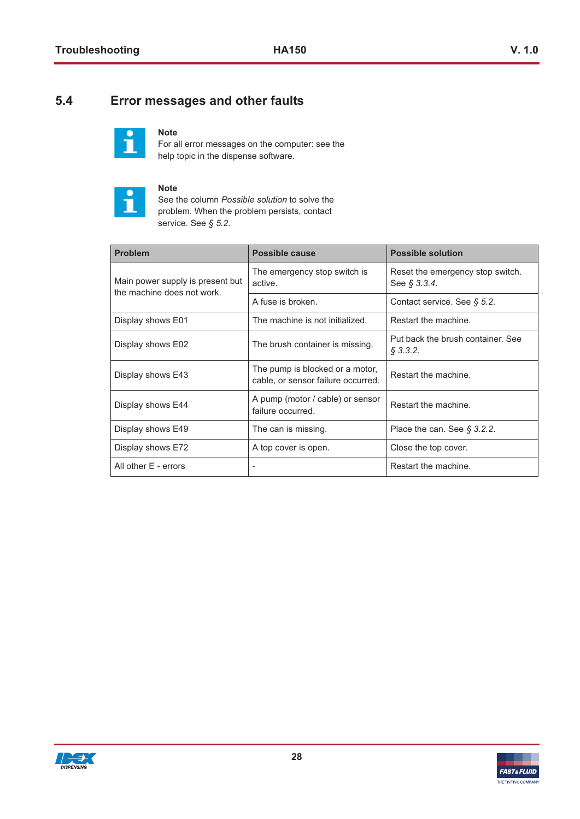# **5.4 Error messages and other faults**



For all error messages on the computer: see the help topic in the dispense software.



#### **Note**

**Note**

See the column *Possible solution* to solve the problem. When the problem persists, contact service. See *§ 5.2*.

| <b>Problem</b>                                                 | Possible cause                                                        | <b>Possible solution</b>                           |
|----------------------------------------------------------------|-----------------------------------------------------------------------|----------------------------------------------------|
| Main power supply is present but<br>the machine does not work. | The emergency stop switch is<br>active.                               | Reset the emergency stop switch.<br>See $$3.3.4$ . |
|                                                                | A fuse is broken.                                                     | Contact service. See $\S$ 5.2.                     |
| Display shows E01                                              | The machine is not initialized.                                       | Restart the machine.                               |
| Display shows E02                                              | The brush container is missing.                                       | Put back the brush container. See<br>\$3.3.2.      |
| Display shows E43                                              | The pump is blocked or a motor,<br>cable, or sensor failure occurred. | Restart the machine.                               |
| Display shows E44                                              | A pump (motor / cable) or sensor<br>failure occurred.                 | Restart the machine.                               |
| Display shows E49                                              | The can is missing.                                                   | Place the can. See $\S$ 3.2.2.                     |
| Display shows E72                                              | A top cover is open.                                                  | Close the top cover.                               |
| All other E - errors                                           |                                                                       | Restart the machine.                               |

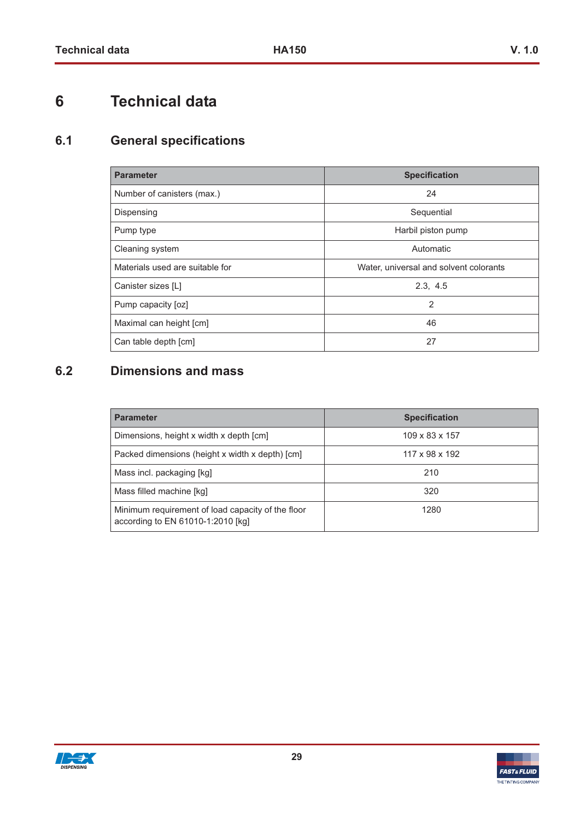# **6 Technical data**

# **6.1 General specifications**

| <b>Parameter</b>                | <b>Specification</b>                   |  |
|---------------------------------|----------------------------------------|--|
| Number of canisters (max.)      | 24                                     |  |
| Dispensing                      | Sequential                             |  |
| Pump type                       | Harbil piston pump                     |  |
| Cleaning system                 | Automatic                              |  |
| Materials used are suitable for | Water, universal and solvent colorants |  |
| Canister sizes [L]              | 2.3, 4.5                               |  |
| Pump capacity [oz]              | 2                                      |  |
| Maximal can height [cm]         | 46                                     |  |
| Can table depth [cm]            | 27                                     |  |

# **6.2 Dimensions and mass**

| <b>Parameter</b>                                                                       | <b>Specification</b>       |
|----------------------------------------------------------------------------------------|----------------------------|
| Dimensions, height x width x depth [cm]                                                | $109 \times 83 \times 157$ |
| Packed dimensions (height x width x depth) [cm]                                        | $117 \times 98 \times 192$ |
| Mass incl. packaging [kg]                                                              | 210                        |
| Mass filled machine [kq]                                                               | 320                        |
| Minimum requirement of load capacity of the floor<br>according to EN 61010-1:2010 [kg] | 1280                       |

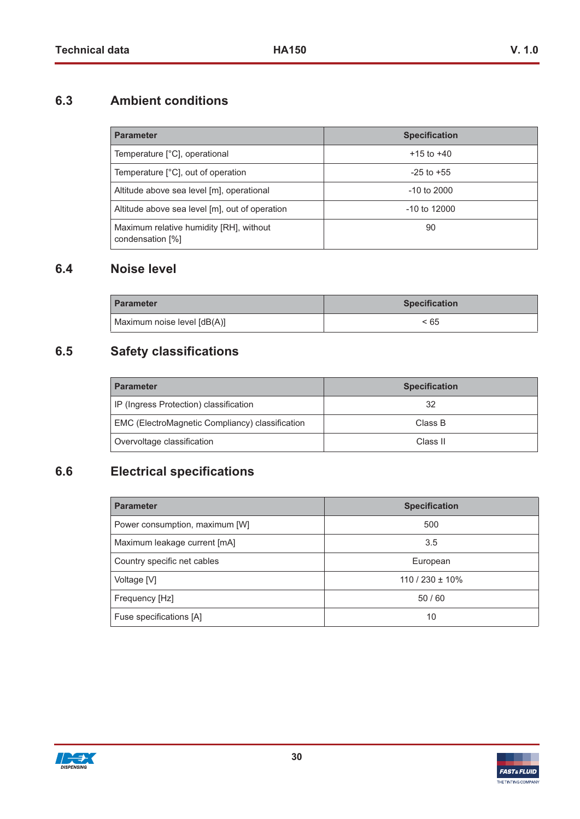# **6.3 Ambient conditions**

| <b>Parameter</b>                                            | <b>Specification</b> |
|-------------------------------------------------------------|----------------------|
| Temperature [°C], operational                               | $+15$ to $+40$       |
| Temperature $[^{\circ}C]$ , out of operation                | $-25$ to $+55$       |
| Altitude above sea level [m], operational                   | $-10$ to 2000        |
| Altitude above sea level [m], out of operation              | $-10$ to $12000$     |
| Maximum relative humidity [RH], without<br>condensation [%] | 90                   |

# **6.4 Noise level**

| <b>Parameter</b>            | <b>Specification</b> |
|-----------------------------|----------------------|
| Maximum noise level [dB(A)] | < 65                 |

# **6.5 Safety classifications**

| <b>Parameter</b>                                | <b>Specification</b> |
|-------------------------------------------------|----------------------|
| IP (Ingress Protection) classification          | 32                   |
| EMC (ElectroMagnetic Compliancy) classification | Class B              |
| Overvoltage classification                      | Class II             |

# **6.6 Electrical specifications**

| <b>Parameter</b>               | <b>Specification</b> |
|--------------------------------|----------------------|
| Power consumption, maximum [W] | 500                  |
| Maximum leakage current [mA]   | 3.5                  |
| Country specific net cables    | European             |
| Voltage [V]                    | $110/230 \pm 10\%$   |
| Frequency [Hz]                 | 50/60                |
| Fuse specifications [A]        | 10                   |

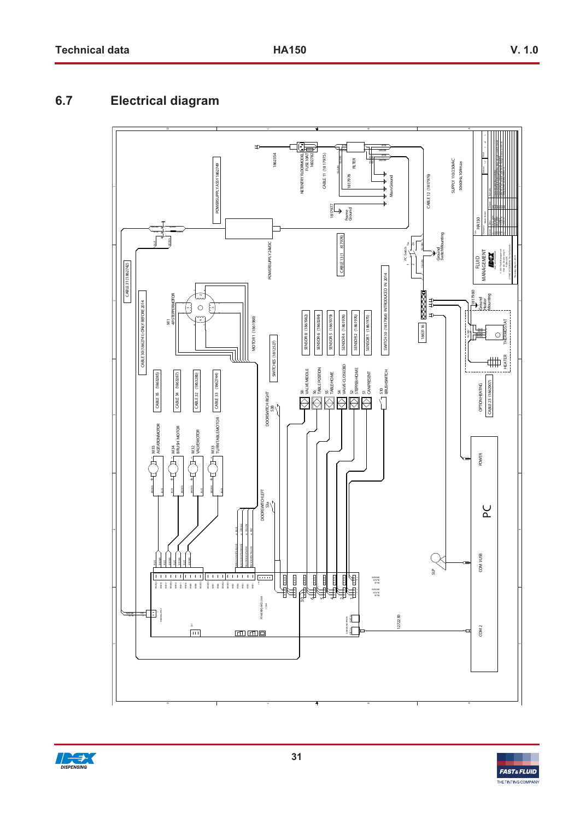# **6.7 Electrical diagram**